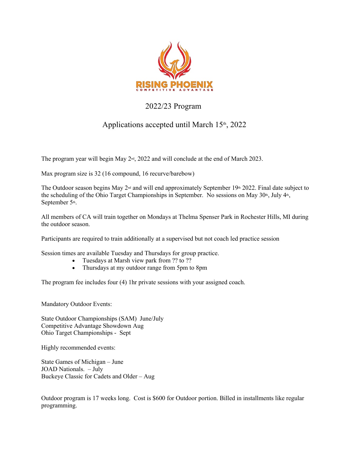

### 2022/23 Program

## Applications accepted until March 15<sup>th</sup>, 2022

The program year will begin May  $2<sup>nd</sup>$ , 2022 and will conclude at the end of March 2023.

Max program size is 32 (16 compound, 16 recurve/barebow)

The Outdoor season begins May  $2^{nd}$  and will end approximately September 19<sup>th</sup> 2022. Final date subject to the scheduling of the Ohio Target Championships in September. No sessions on May 30<sup>th</sup>, July 4<sup>th</sup>, September 5<sup>th</sup>.

All members of CA will train together on Mondays at Thelma Spenser Park in Rochester Hills, MI during the outdoor season.

Participants are required to train additionally at a supervised but not coach led practice session

Session times are available Tuesday and Thursdays for group practice.

- Tuesdays at Marsh view park from ?? to ??
- Thursdays at my outdoor range from 5pm to 8pm

The program fee includes four (4) 1hr private sessions with your assigned coach.

Mandatory Outdoor Events:

State Outdoor Championships (SAM) June/July Competitive Advantage Showdown Aug Ohio Target Championships - Sept

Highly recommended events:

State Games of Michigan – June JOAD Nationals. – July Buckeye Classic for Cadets and Older – Aug

Outdoor program is 17 weeks long. Cost is \$600 for Outdoor portion. Billed in installments like regular programming.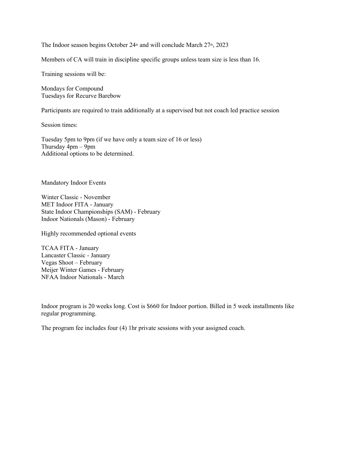The Indoor season begins October  $24<sup>th</sup>$  and will conclude March  $27<sup>th</sup>$ ,  $2023$ 

Members of CA will train in discipline specific groups unless team size is less than 16.

Training sessions will be:

Mondays for Compound Tuesdays for Recurve Barebow

Participants are required to train additionally at a supervised but not coach led practice session

Session times:

Tuesday 5pm to 9pm (if we have only a team size of 16 or less) Thursday 4pm – 9pm Additional options to be determined.

Mandatory Indoor Events

Winter Classic - November MET Indoor FITA - January State Indoor Championships (SAM) - February Indoor Nationals (Mason) - February

Highly recommended optional events

TCAA FITA - January Lancaster Classic - January Vegas Shoot – February Meijer Winter Games - February NFAA Indoor Nationals - March

Indoor program is 20 weeks long. Cost is \$660 for Indoor portion. Billed in 5 week installments like regular programming.

The program fee includes four (4) 1hr private sessions with your assigned coach.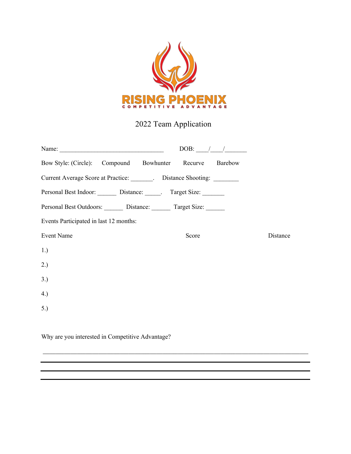

# 2022 Team Application

| Name:                                                       | DOB: $/$ / |          |
|-------------------------------------------------------------|------------|----------|
| Bow Style: (Circle): Compound Bowhunter Recurve Barebow     |            |          |
| Current Average Score at Practice: Distance Shooting: 2003. |            |          |
| Personal Best Indoor: Distance: Target Size:                |            |          |
| Personal Best Outdoors: Distance: Target Size:              |            |          |
| Events Participated in last 12 months:                      |            |          |
| <b>Event Name</b>                                           | Score      | Distance |
| 1.)                                                         |            |          |
| 2.)                                                         |            |          |
| 3.)                                                         |            |          |
| 4.)                                                         |            |          |
| 5.)                                                         |            |          |
|                                                             |            |          |

\_\_\_\_\_\_\_\_\_\_\_\_\_\_\_\_\_\_\_\_\_\_\_\_\_\_\_\_\_\_\_\_\_\_\_\_\_\_\_\_\_\_\_\_\_\_\_\_\_\_\_\_\_\_\_\_\_\_\_\_\_\_\_\_\_\_\_\_\_\_\_\_\_\_\_\_\_\_\_\_\_\_\_\_\_\_\_\_\_\_\_\_\_\_\_\_\_\_\_\_\_\_\_\_\_\_\_\_\_\_\_\_\_\_\_\_\_\_\_\_\_\_\_\_

Why are you interested in Competitive Advantage?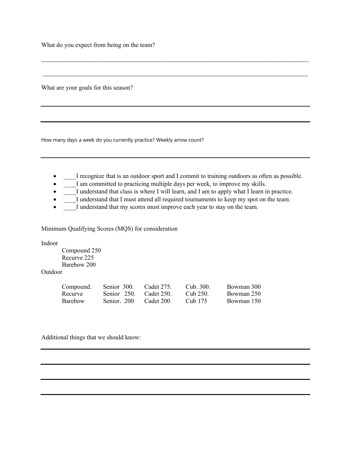What do you expect from being on the team?

What are your goals for this season?

How many days a week do you currently practice? Weekly arrow count?

• I recognize that is an outdoor sport and I commit to training outdoors as often as possible.

\_\_\_\_\_\_\_\_\_\_\_\_\_\_\_\_\_\_\_\_\_\_\_\_\_\_\_\_\_\_\_\_\_\_\_\_\_\_\_\_\_\_\_\_\_\_\_\_\_\_\_\_\_\_\_\_\_\_\_\_\_\_\_\_\_\_\_\_\_\_\_\_\_\_\_\_\_\_\_\_\_\_\_\_\_\_\_\_\_\_\_\_\_\_\_\_\_\_\_\_\_\_\_\_\_\_\_\_\_\_\_\_\_\_\_\_\_\_\_\_\_\_\_\_\_

\_\_\_\_\_\_\_\_\_\_\_\_\_\_\_\_\_\_\_\_\_\_\_\_\_\_\_\_\_\_\_\_\_\_\_\_\_\_\_\_\_\_\_\_\_\_\_\_\_\_\_\_\_\_\_\_\_\_\_\_\_\_\_\_\_\_\_\_\_\_\_\_\_\_\_\_\_\_\_\_\_\_\_\_\_\_\_\_\_\_\_\_\_\_\_\_\_\_\_\_\_\_\_\_\_\_\_\_\_\_\_\_\_\_\_\_\_\_\_\_\_\_\_\_

- I am committed to practicing multiple days per week, to improve my skills.
- I understand that class is where I will learn, and I am to apply what I learn in practice.
- I understand that I must attend all required tournaments to keep my spot on the team.
- I understand that my scores must improve each year to stay on the team.

Minimum Qualifying Scores (MQS) for consideration

Indoor

Compound 250 Recurve 225 Barebow 200

Outdoor

| Compound. | Senior 300. | Cadet 275. | Cub. 300. | Bowman 300 |
|-----------|-------------|------------|-----------|------------|
| Recurve   | Senior 250. | Cadet 250. | Cub 250.  | Bowman 250 |
| Barebow   | Senior. 200 | Cadet 200  | Cub 175   | Bowman 150 |

Additional things that we should know: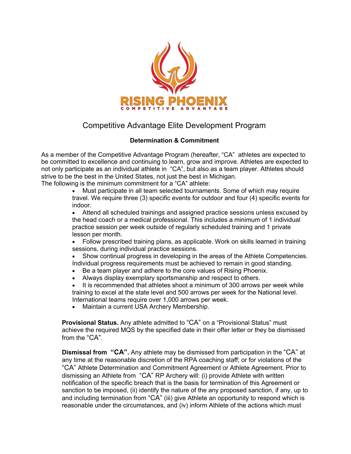

## Competitive Advantage Elite Development Program

#### **Determination & Commitment**

As a member of the Competitive Advantage Program (hereafter, "CA" athletes are expected to be committed to excellence and continuing to learn, grow and improve. Athletes are expected to not only participate as an individual athlete in "CA", but also as a team player. Athletes should strive to be the best in the United States, not just the best in Michigan.

The following is the minimum commitment for a "CA" athlete:

• Must participate in all team selected tournaments. Some of which may require travel. We require three (3) specific events for outdoor and four (4) specific events for indoor.

• Attend all scheduled trainings and assigned practice sessions unless excused by the head coach or a medical professional. This includes a minimum of 1 individual practice session per week outside of regularly scheduled training and 1 private lesson per month.

- Follow prescribed training plans, as applicable. Work on skills learned in training sessions, during individual practice sessions.
- Show continual progress in developing in the areas of the Athlete Competencies. Individual progress requirements must be achieved to remain in good standing.
- Be a team player and adhere to the core values of Rising Phoenix.
- Always display exemplary sportsmanship and respect to others.
- It is recommended that athletes shoot a minimum of 300 arrows per week while training to excel at the state level and 500 arrows per week for the National level. International teams require over 1,000 arrows per week.
- Maintain a current USA Archery Membership.

**Provisional Status.** Any athlete admitted to "CA" on a "Provisional Status" must achieve the required MQS by the specified date in their offer letter or they be dismissed from the "CA".

**Dismissal from "CA".** Any athlete may be dismissed from participation in the "CA" at any time at the reasonable discretion of the RPA coaching staff; or for violations of the "CA" Athlete Determination and Commitment Agreement or Athlete Agreement. Prior to dismissing an Athlete from "CA" RP Archery will: (i) provide Athlete with written notification of the specific breach that is the basis for termination of this Agreement or sanction to be imposed, (ii) identify the nature of the any proposed sanction, if any, up to and including termination from "CA" (iii) give Athlete an opportunity to respond which is reasonable under the circumstances, and (iv) inform Athlete of the actions which must